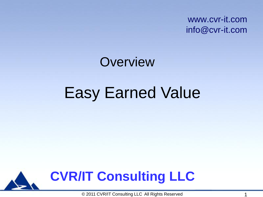www.cvr-it.com info@cvr-it.com

# Easy Earned Value **Overview**

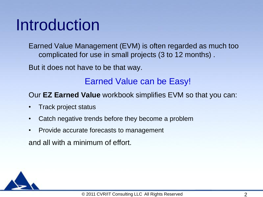#### Introduction

Earned Value Management (EVM) is often regarded as much too complicated for use in small projects (3 to 12 months) .

But it does not have to be that way.

#### Earned Value can be Easy!

#### Our **EZ Earned Value** workbook simplifies EVM so that you can:

- Track project status
- Catch negative trends before they become a problem
- Provide accurate forecasts to management

and all with a minimum of effort.

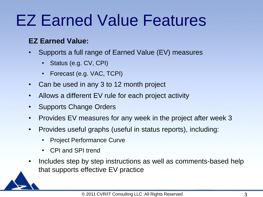### EZ Earned Value Features

#### **EZ Earned Value:**

- Supports a full range of Earned Value (EV) measures
	- Status (e.g. CV, CPI)
	- Forecast (e.g. VAC, TCPI)
- Can be used in any 3 to 12 month project
- Allows a different EV rule for each project activity
- Supports Change Orders
- Provides EV measures for any week in the project after week 3
- Provides useful graphs (useful in status reports), including:
	- Project Performance Curve
	- CPI and SPI trend
- Includes step by step instructions as well as comments-based help that supports effective EV practice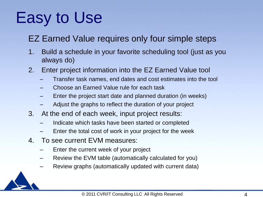### Easy to Use

#### EZ Earned Value requires only four simple steps

- 1. Build a schedule in your favorite scheduling tool (just as you always do)
- 2. Enter project information into the EZ Earned Value tool
	- Transfer task names, end dates and cost estimates into the tool
	- Choose an Earned Value rule for each task
	- Enter the project start date and planned duration (in weeks)
	- Adjust the graphs to reflect the duration of your project
- 3. At the end of each week, input project results:
	- Indicate which tasks have been started or completed
	- Enter the total cost of work in your project for the week
- 4. To see current EVM measures:
	- Enter the current week of your project
	- Review the EVM table (automatically calculated for you)
	- Review graphs (automatically updated with current data)

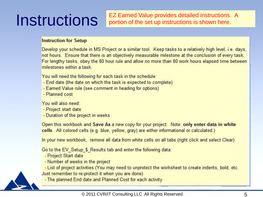**Instructions** EZ Earned Value provides detailed instructions. A portion of the set up instructions is shown here. portion of the set up instructions is shown here.

#### **Instruction for Setup**

Develop your schedule in MS Project or a similar tool. Keep tasks to a relatively high level, i.e. days, not hours. Ensure that there is an objectively measurable milestone at the conclusion of every task. For lengthy tasks, obey the 80 hour rule and allow no more than 80 work hours elapsed time between milestones within a task

You will need the following for each task in the schedule:

- End date (the date on which the task is expected to complete)
- Earned Value rule (see comment in heading for options)
- Planned cost

You will also need:

- Project start date
- Duration of the project in weeks

Open this workbook and Save As a new copy for your project. Note: only enter data in white cells. All colored cells (e.g. blue, yellow, gray) are either informational or calculated.)

In your new workbook, remove all data from white cells on all tabs (right click and select Clear)

Go to the EV Setup \$ Results tab and enter the following data:

- Project Start date
- Number of weeks in the project

- List of project activities (You may need to unprotect the worksheet to create indents, bold, etc. Just remember to re-protect it when you are done)

- The planned End date and Planned Cost for each activity

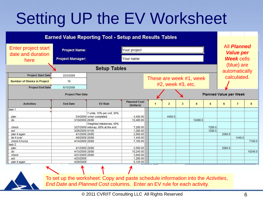### Setting UP the EV Worksheet





To set up the worksheet: Copy and paste schedule information into the *Activities*, *End Date* and *Planned Cost* columns. Enter an EV rule for each activity.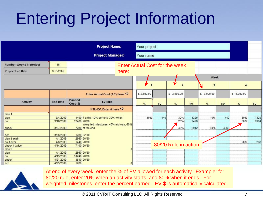## Entering Project Information

|                         |                 |                      | <b>Project Name:</b>                                    |                | Your project   |     |                                       |      |                 |      |                |      |
|-------------------------|-----------------|----------------------|---------------------------------------------------------|----------------|----------------|-----|---------------------------------------|------|-----------------|------|----------------|------|
|                         |                 |                      | <b>Project Manager:</b>                                 |                | Your name      |     |                                       |      |                 |      |                |      |
| Number weeks in project | 16              |                      |                                                         |                |                |     | <b>Enter Actual Cost for the week</b> |      |                 |      |                |      |
| <b>Project End Date</b> | 6/15/2009       |                      | here:                                                   |                |                |     |                                       |      |                 |      |                |      |
|                         |                 |                      |                                                         |                |                |     |                                       |      | Week            |      |                |      |
|                         |                 |                      |                                                         |                | $\mathbf{r}_1$ |     | V<br>$\overline{2}$                   |      | $3\overline{3}$ |      | $\overline{4}$ |      |
|                         |                 |                      | Enter Actual Cost (AC) Here                             |                | \$2,500.00     |     | \$ 3,500.00                           |      | \$ 3,000.00     |      | \$ 5,000.00    |      |
| <b>Activity</b>         | <b>End Date</b> | Planned<br>Cost (\$) | <b>EV Rule</b>                                          |                | $\%$           | EV  | %                                     | EV   | %               | EV   | $\%$           | EV   |
|                         |                 |                      | If No EV, Enter 0 here $\Rightarrow$                    |                |                |     |                                       |      |                 |      |                |      |
| task 1                  |                 |                      |                                                         |                |                |     |                                       |      |                 |      |                |      |
| plan                    | 3/4/2009        |                      | 4400 7 units; 10% per unit, 30% when                    |                | 10%            | 440 | 30%                                   | 1320 | 10%             | 440  | 30%            | 1320 |
| do                      | 3/18/2009       |                      | 12480 20/80                                             |                |                |     | 20%                                   | 2496 |                 |      | 80%            | 9984 |
| check                   | 3/27/2009       |                      | Weighted milestones; 40% midway, 60%<br>7280 at the end |                |                |     | 40%                                   | 2912 | 60%             | 4368 |                |      |
| act                     | 3/26/2009       |                      | 1280 0/100                                              |                |                |     |                                       |      |                 |      |                |      |
| plan it again           | 4/1/2009        |                      | 2560 20/80                                              |                |                |     |                                       |      |                 |      |                |      |
| do it over              | 4/6/2009        |                      | 1440 20/80                                              |                |                |     | 80/20 Rule in action                  |      |                 |      | 20%            | 288  |
| check it twice          | 4/14/2009       |                      | 7100 20/80                                              |                |                |     |                                       |      |                 |      |                |      |
| task 2                  |                 |                      |                                                         |                |                |     |                                       |      |                 |      |                |      |
| plan                    | 4/1/2009        |                      | 2560 20/80                                              |                |                |     |                                       |      |                 |      |                |      |
| do                      | 4/13/2009       |                      | 10240 20/80                                             |                |                |     |                                       |      |                 |      |                |      |
| check                   | 4/21/2009       |                      | 3840 20/80                                              |                |                |     |                                       |      |                 |      |                |      |
| act                     | 4/23/2009       | 1280                 |                                                         | $\overline{0}$ |                |     |                                       |      |                 |      |                |      |



At end of every week, enter the % of EV allowed for each activity. Example: for 80/20 rule, enter 20% when an activity starts, and 80% when it ends. For weighted milestones, enter the percent earned. EV \$ is automatically calculated.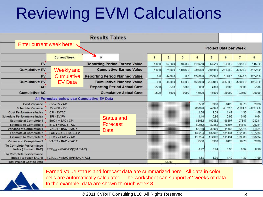### Reviewing EVM Calculations

| <b>Results Tables</b>                                     |                                            |  |                                       |              |                |         |                |          |                              |                |            |
|-----------------------------------------------------------|--------------------------------------------|--|---------------------------------------|--------------|----------------|---------|----------------|----------|------------------------------|----------------|------------|
| Enter current week here:                                  |                                            |  |                                       |              |                |         |                |          |                              |                |            |
|                                                           |                                            |  |                                       |              |                |         |                |          | <b>Project Data per Week</b> |                |            |
|                                                           | <b>Current Week</b>                        |  | 9                                     | $\mathbf{1}$ | $\overline{2}$ | 3       | $\overline{4}$ | 5        | 6                            | $\overline{I}$ | 8          |
| <b>EV</b>                                                 |                                            |  | <b>Reporting Period Earned Value</b>  | 440.0        | 6728.0         | 4808.0  | 11592.0        | 1392.0   | 3468.0                       | 2048.0         | 1152.0     |
| <b>Cumulative EV</b>                                      | <b>Weekly and</b>                          |  | <b>Cumulative Earned Value</b>        | 440.0        | 7168.0         | 11976.0 | 23568.0        | 24960.0  | 28428.0                      | 30476.0        | 31628.0    |
| PV                                                        | <b>Cumulative</b>                          |  | <b>Reporting Period Planned Value</b> | 0.0          | 4400.0         | 0.0     | 12480.0        | 8560.0   | 5120.0                       | 1440.0         | 17340.0    |
| <b>Cumulative PV</b>                                      | <b>EV Data</b>                             |  | <b>Cumulative Planned Value</b>       | 0.0          | 4400.0         | 4400.0  | 16880.0        | 25440.0  | 30560.0                      | 32000.0        | 49340.0    |
| <b>AC</b>                                                 |                                            |  | <b>Reporting Period Actual Cost</b>   | 2500         | 3500           | 3000    | 5000           | 4000     | 2000                         | 3500           | 5500       |
| <b>Cumulative AC</b>                                      |                                            |  | <b>Cumulative Actual Cost</b>         | 2500         | 6000           | 9000    | 14000          | 18000    | 20000                        | 23500          | 29000      |
| All Formulas below use Cumulative EV Data                 |                                            |  |                                       |              |                |         |                |          |                              |                |            |
| <b>Cost Variance</b><br>$CV = EV - AC$                    |                                            |  |                                       |              |                |         | 9568           | 6960     | 8428                         | 6976           | 2628       |
| <b>Schedule Variance</b>                                  | $SV = EV - PV$                             |  |                                       |              |                |         | 6688.0         | $-480.0$ | $-2132.0$                    | $-1524.0$      | $-17712.0$ |
| <b>Cost Performance Index</b>                             | $CPI = EV/AC$                              |  |                                       |              |                |         | 1.68           | 1.39     | 1.42                         | 1.30           | 1.09       |
| <b>Schedule Performance Index</b>                         | $SPI = EV/PV$                              |  | <b>Status and</b>                     |              |                |         | 1.40           | 0.98     | 0.93                         | 0.95           | 0.64       |
| <b>Estimate at Complete 1</b>                             | EAC $1 = BAC / CPI$                        |  |                                       |              |                |         | 83082          | 100862   | 98397                        | 107847         | 128241     |
| <b>Estimate to Complete 1</b>                             | $ETC 1 = EAC 1 - AC$                       |  | Forecast                              |              |                |         | 69082          | 82862    | 78397                        | 84347          | 99241      |
| <b>Variance at Completion 1</b>                           | VAC $1 = BAC - EAC 1$                      |  | Data                                  |              |                |         | 56780          | 39000    | 41465                        | 32015          | 11621      |
| <b>Estimate at Complete 2</b>                             | $EAC$ 2 = AC + BAC - EV                    |  |                                       |              |                |         | 130294         | 132902   | 131434                       | 132886         | 137234     |
| <b>Estimate to Complete 2</b>                             | $ETC$ 2 = EAC 2 - AC                       |  |                                       |              |                |         | 116294         | 114902   | 111434                       | 109386         | 108234     |
| <b>Variance at Completion 2</b>                           | VAC $2 = BAC - EAC2$                       |  |                                       |              |                |         | 9568           | 6960     | 8428                         | 6976           | 2628       |
| <b>To Complete Performance</b><br>Index ( to reach BAC)   | $TCPIBAC = (BAC-EV)/(BAC-AC)$              |  |                                       |              |                |         | 0.92           | 0.94     | 0.93                         | 0.94           | 0.98       |
| <b>To Complete Performance</b><br>Index ( to reach EAC 1) | TCPI <sub>EAC1</sub> = (BAC-EV)/(EAC 1-AC) |  |                                       |              |                |         | 1.68           | 1.39     | 1.42                         | 1.30           | 1.09       |
| <b>Total Project Cost to Date</b>                         |                                            |  |                                       |              | 33000          |         |                |          |                              |                |            |



Earned Value status and forecast data are summarized here. All data in color cells are automatically calculated. The worksheet can support 52 weeks of data. In the example, data are shown through week 8.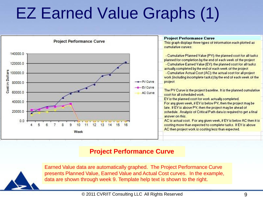### EZ Earned Value Graphs (1)



#### **Project Performance Curve**



Earned Value data are automatically graphed. The Project Performance Curve presents Planned Value, Earned Value and Actual Cost curves. In the example, data are shown through week 9. Template help text is shown to the right.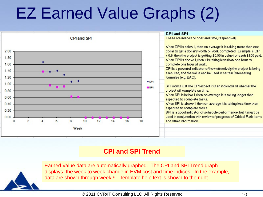### EZ Earned Value Graphs (2)



#### **CPI and SPI Trend**



Earned Value data are automatically graphed. The CPI and SPI Trend graph displays the week to week change in EVM cost and time indices. In the example, data are shown through week 9. Template help text is shown to the right.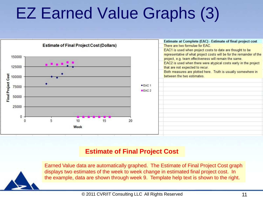### EZ Earned Value Graphs (3)



#### **Estimate of Final Project Cost**



Earned Value data are automatically graphed. The Estimate of Final Project Cost graph displays two estimates of the week to week change in estimated final project cost. In the example, data are shown through week 9. Template help text is shown to the right.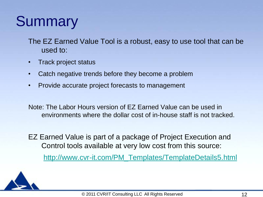#### **Summary**

The EZ Earned Value Tool is a robust, easy to use tool that can be used to:

- Track project status
- Catch negative trends before they become a problem
- Provide accurate project forecasts to management

Note: The Labor Hours version of EZ Earned Value can be used in environments where the dollar cost of in-house staff is not tracked.

EZ Earned Value is part of a package of Project Execution and Control tools available at very low cost from this source: [http://www.cvr-it.com/PM\\_Templates/TemplateDetails5.html](http://www.cvr-it.com/PM_Templates/TemplateDetails5.html)

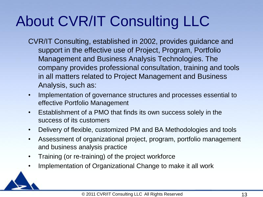### About CVR/IT Consulting LLC

- CVR/IT Consulting, established in 2002, provides guidance and support in the effective use of Project, Program, Portfolio Management and Business Analysis Technologies. The company provides professional consultation, training and tools in all matters related to Project Management and Business Analysis, such as:
- Implementation of governance structures and processes essential to effective Portfolio Management
- Establishment of a PMO that finds its own success solely in the success of its customers
- Delivery of flexible, customized PM and BA Methodologies and tools
- Assessment of organizational project, program, portfolio management and business analysis practice
- Training (or re-training) of the project workforce
- Implementation of Organizational Change to make it all work